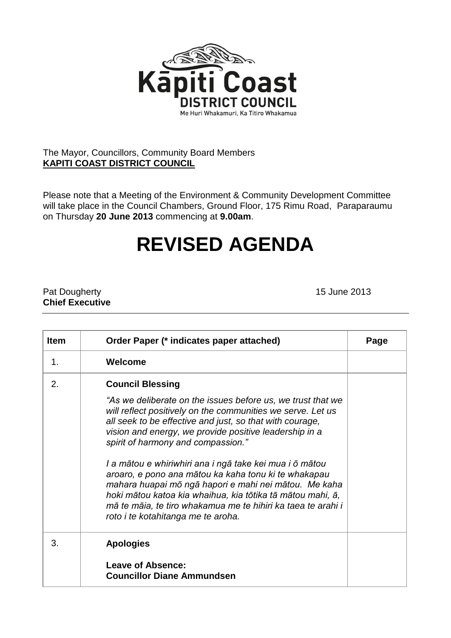

## The Mayor, Councillors, Community Board Members **KAPITI COAST DISTRICT COUNCIL**

Please note that a Meeting of the Environment & Community Development Committee will take place in the Council Chambers, Ground Floor, 175 Rimu Road, Paraparaumu on Thursday **20 June 2013** commencing at **9.00am**.

## **REVISED AGENDA**

Pat Dougherty **15 June 2013 Chief Executive**

| <b>Item</b>   | Order Paper (* indicates paper attached)                                                                                                                                                                                                                                                                                                                                                                                                                                                                                                                                                                                                                          | Page |
|---------------|-------------------------------------------------------------------------------------------------------------------------------------------------------------------------------------------------------------------------------------------------------------------------------------------------------------------------------------------------------------------------------------------------------------------------------------------------------------------------------------------------------------------------------------------------------------------------------------------------------------------------------------------------------------------|------|
| $\mathbf 1$ . | Welcome                                                                                                                                                                                                                                                                                                                                                                                                                                                                                                                                                                                                                                                           |      |
| 2.            | <b>Council Blessing</b><br>"As we deliberate on the issues before us, we trust that we<br>will reflect positively on the communities we serve. Let us<br>all seek to be effective and just, so that with courage,<br>vision and energy, we provide positive leadership in a<br>spirit of harmony and compassion."<br>I a mātou e whiriwhiri ana i ngā take kei mua i ō mātou<br>aroaro, e pono ana mātou ka kaha tonu ki te whakapau<br>mahara huapai mō ngā hapori e mahi nei mātou. Me kaha<br>hoki mātou katoa kia whaihua, kia tōtika tā mātou mahi, ā,<br>mā te māia, te tiro whakamua me te hihiri ka taea te arahi i<br>roto i te kotahitanga me te aroha. |      |
| 3.            | <b>Apologies</b>                                                                                                                                                                                                                                                                                                                                                                                                                                                                                                                                                                                                                                                  |      |
|               | <b>Leave of Absence:</b><br><b>Councillor Diane Ammundsen</b>                                                                                                                                                                                                                                                                                                                                                                                                                                                                                                                                                                                                     |      |